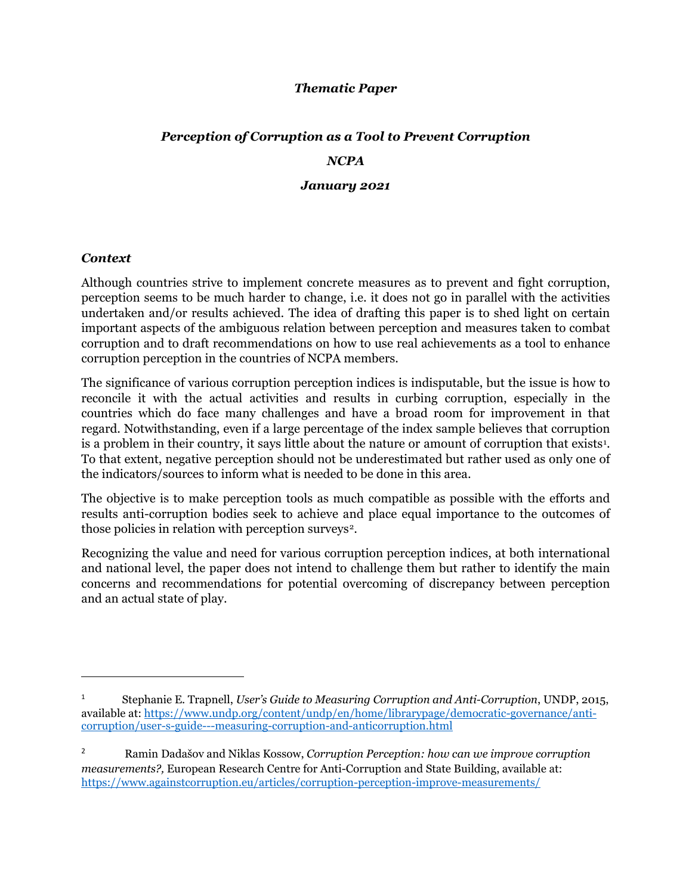#### *Thematic Paper*

# *Perception of Corruption as a Tool to Prevent Corruption NCPA January 2021*

#### *Context*

 $\overline{\phantom{a}}$ 

Although countries strive to implement concrete measures as to prevent and fight corruption, perception seems to be much harder to change, i.e. it does not go in parallel with the activities undertaken and/or results achieved. The idea of drafting this paper is to shed light on certain important aspects of the ambiguous relation between perception and measures taken to combat corruption and to draft recommendations on how to use real achievements as a tool to enhance corruption perception in the countries of NCPA members.

The significance of various corruption perception indices is indisputable, but the issue is how to reconcile it with the actual activities and results in curbing corruption, especially in the countries which do face many challenges and have a broad room for improvement in that regard. Notwithstanding, even if a large percentage of the index sample believes that corruption is a problem in their country, it says little about the nature or amount of corruption that exists<sup>[1](#page-0-0)</sup>. To that extent, negative perception should not be underestimated but rather used as only one of the indicators/sources to inform what is needed to be done in this area.

The objective is to make perception tools as much compatible as possible with the efforts and results anti-corruption bodies seek to achieve and place equal importance to the outcomes of those policies in relation with perception surveys<sup>[2](#page-0-1)</sup>.

Recognizing the value and need for various corruption perception indices, at both international and national level, the paper does not intend to challenge them but rather to identify the main concerns and recommendations for potential overcoming of discrepancy between perception and an actual state of play.

<span id="page-0-0"></span><sup>1</sup> Stephanie E. Trapnell, *User's Guide to Measuring Corruption and Anti-Corruption*, UNDP, 2015, available at[: https://www.undp.org/content/undp/en/home/librarypage/democratic-governance/anti](https://www.undp.org/content/undp/en/home/librarypage/democratic-governance/anti-corruption/user-s-guide---measuring-corruption-and-anticorruption.html)[corruption/user-s-guide---measuring-corruption-and-anticorruption.html](https://www.undp.org/content/undp/en/home/librarypage/democratic-governance/anti-corruption/user-s-guide---measuring-corruption-and-anticorruption.html)

<span id="page-0-1"></span><sup>2</sup> Ramin Dadašov and Niklas Kossow, *Corruption Perception: how can we improve corruption measurements?,* European Research Centre for Anti-Corruption and State Building, available at: <https://www.againstcorruption.eu/articles/corruption-perception-improve-measurements/>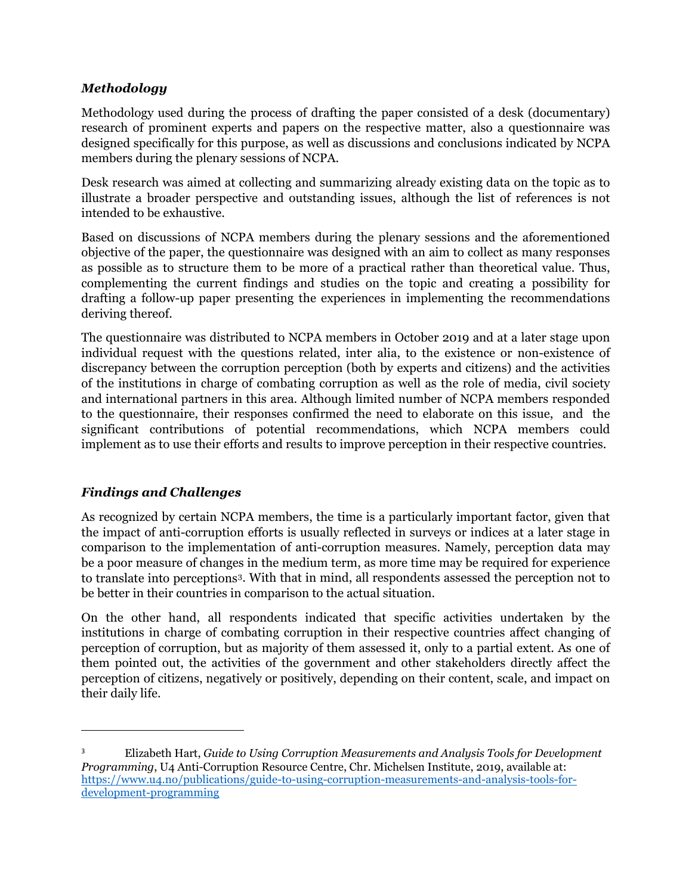## *Methodology*

Methodology used during the process of drafting the paper consisted of a desk (documentary) research of prominent experts and papers on the respective matter, also a questionnaire was designed specifically for this purpose, as well as discussions and conclusions indicated by NCPA members during the plenary sessions of NCPA.

Desk research was aimed at collecting and summarizing already existing data on the topic as to illustrate a broader perspective and outstanding issues, although the list of references is not intended to be exhaustive.

Based on discussions of NCPA members during the plenary sessions and the aforementioned objective of the paper, the questionnaire was designed with an aim to collect as many responses as possible as to structure them to be more of a practical rather than theoretical value. Thus, complementing the current findings and studies on the topic and creating a possibility for drafting a follow-up paper presenting the experiences in implementing the recommendations deriving thereof.

The questionnaire was distributed to NCPA members in October 2019 and at a later stage upon individual request with the questions related, inter alia, to the existence or non-existence of discrepancy between the corruption perception (both by experts and citizens) and the activities of the institutions in charge of combating corruption as well as the role of media, civil society and international partners in this area. Although limited number of NCPA members responded to the questionnaire, their responses confirmed the need to elaborate on this issue, and the significant contributions of potential recommendations, which NCPA members could implement as to use their efforts and results to improve perception in their respective countries.

## *Findings and Challenges*

 $\overline{a}$ 

As recognized by certain NCPA members, the time is a particularly important factor, given that the impact of anti-corruption efforts is usually reflected in surveys or indices at a later stage in comparison to the implementation of anti-corruption measures. Namely, perception data may be a poor measure of changes in the medium term, as more time may be required for experience to translate into perceptions[3.](#page-1-0) With that in mind, all respondents assessed the perception not to be better in their countries in comparison to the actual situation.

On the other hand, all respondents indicated that specific activities undertaken by the institutions in charge of combating corruption in their respective countries affect changing of perception of corruption, but as majority of them assessed it, only to a partial extent. As one of them pointed out, the activities of the government and other stakeholders directly affect the perception of citizens, negatively or positively, depending on their content, scale, and impact on their daily life.

<span id="page-1-0"></span><sup>3</sup> Elizabeth Hart, *Guide to Using Corruption Measurements and Analysis Tools for Development Programming*, U4 Anti-Corruption Resource Centre, Chr. Michelsen Institute, 2019, available at: [https://www.u4.no/publications/guide-to-using-corruption-measurements-and-analysis-tools-for](https://www.u4.no/publications/guide-to-using-corruption-measurements-and-analysis-tools-for-development-programming)[development-programming](https://www.u4.no/publications/guide-to-using-corruption-measurements-and-analysis-tools-for-development-programming)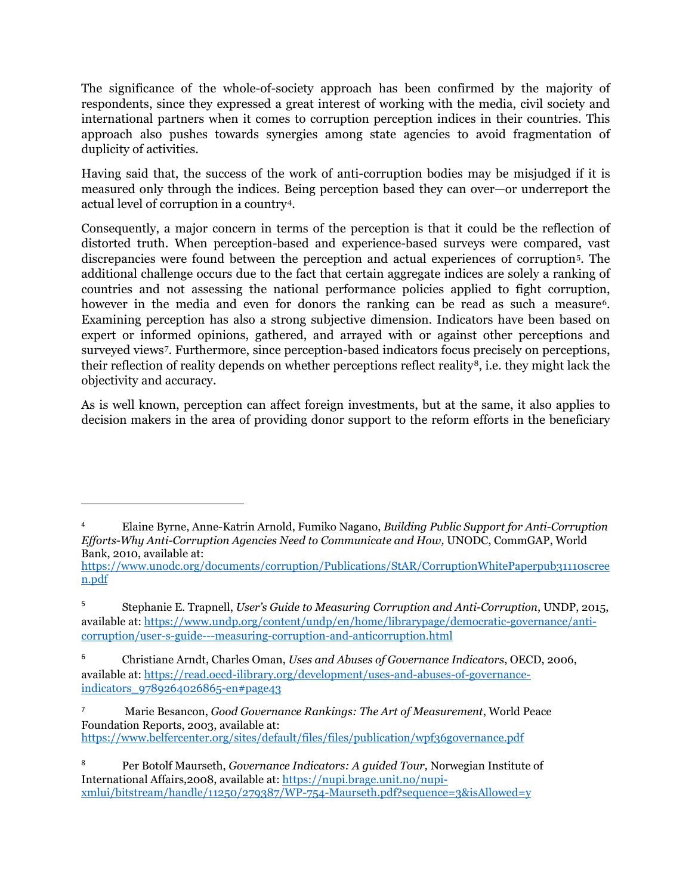The significance of the whole-of-society approach has been confirmed by the majority of respondents, since they expressed a great interest of working with the media, civil society and international partners when it comes to corruption perception indices in their countries. This approach also pushes towards synergies among state agencies to avoid fragmentation of duplicity of activities.

Having said that, the success of the work of anti-corruption bodies may be misjudged if it is measured only through the indices. Being perception based they can over—or underreport the actual level of corruption in a country[4](#page-2-0).

Consequently, a major concern in terms of the perception is that it could be the reflection of distorted truth. When perception-based and experience-based surveys were compared, vast discrepancies were found between the perception and actual experiences of corruption[5.](#page-2-1) The additional challenge occurs due to the fact that certain aggregate indices are solely a ranking of countries and not assessing the national performance policies applied to fight corruption, however in the media and even for donors the ranking can be read as such a measure<sup>[6](#page-2-2)</sup>. Examining perception has also a strong subjective dimension. Indicators have been based on expert or informed opinions, gathered, and arrayed with or against other perceptions and surveyed views<sup>[7](#page-2-3)</sup>. Furthermore, since perception-based indicators focus precisely on perceptions, their reflection of reality depends on whether perceptions reflect reality[8,](#page-2-4) i.e. they might lack the objectivity and accuracy.

As is well known, perception can affect foreign investments, but at the same, it also applies to decision makers in the area of providing donor support to the reform efforts in the beneficiary

 $\overline{a}$ 

<span id="page-2-0"></span><sup>4</sup> Elaine Byrne, Anne-Katrin Arnold, Fumiko Nagano, *Building Public Support for Anti-Corruption Efforts-Why Anti-Corruption Agencies Need to Communicate and How,* UNODC, CommGAP, World Bank, 2010, available at:

[https://www.unodc.org/documents/corruption/Publications/StAR/CorruptionWhitePaperpub31110scree](https://www.unodc.org/documents/corruption/Publications/StAR/CorruptionWhitePaperpub31110screen.pdf) [n.pdf](https://www.unodc.org/documents/corruption/Publications/StAR/CorruptionWhitePaperpub31110screen.pdf)

<span id="page-2-1"></span><sup>5</sup> Stephanie E. Trapnell, *User's Guide to Measuring Corruption and Anti-Corruption*, UNDP, 2015, available at[: https://www.undp.org/content/undp/en/home/librarypage/democratic-governance/anti](https://www.undp.org/content/undp/en/home/librarypage/democratic-governance/anti-corruption/user-s-guide---measuring-corruption-and-anticorruption.html)[corruption/user-s-guide---measuring-corruption-and-anticorruption.html](https://www.undp.org/content/undp/en/home/librarypage/democratic-governance/anti-corruption/user-s-guide---measuring-corruption-and-anticorruption.html)

<span id="page-2-2"></span><sup>6</sup> Christiane Arndt, Charles Oman, *Uses and Abuses of Governance Indicators*, OECD, 2006, available at[: https://read.oecd-ilibrary.org/development/uses-and-abuses-of-governance](https://read.oecd-ilibrary.org/development/uses-and-abuses-of-governance-indicators_9789264026865-en#page43)[indicators\\_9789264026865-en#page43](https://read.oecd-ilibrary.org/development/uses-and-abuses-of-governance-indicators_9789264026865-en#page43)

<span id="page-2-3"></span><sup>7</sup> Marie Besancon, *Good Governance Rankings: The Art of Measurement*, World Peace Foundation Reports, 2003, available at: <https://www.belfercenter.org/sites/default/files/files/publication/wpf36governance.pdf>

<span id="page-2-4"></span><sup>8</sup> Per Botolf Maurseth, *Governance Indicators: A guided Tour,* Norwegian Institute of International Affairs,2008, available at: [https://nupi.brage.unit.no/nupi](https://nupi.brage.unit.no/nupi-xmlui/bitstream/handle/11250/279387/WP-754-Maurseth.pdf?sequence=3&isAllowed=y)[xmlui/bitstream/handle/11250/279387/WP-754-Maurseth.pdf?sequence=3&isAllowed=y](https://nupi.brage.unit.no/nupi-xmlui/bitstream/handle/11250/279387/WP-754-Maurseth.pdf?sequence=3&isAllowed=y)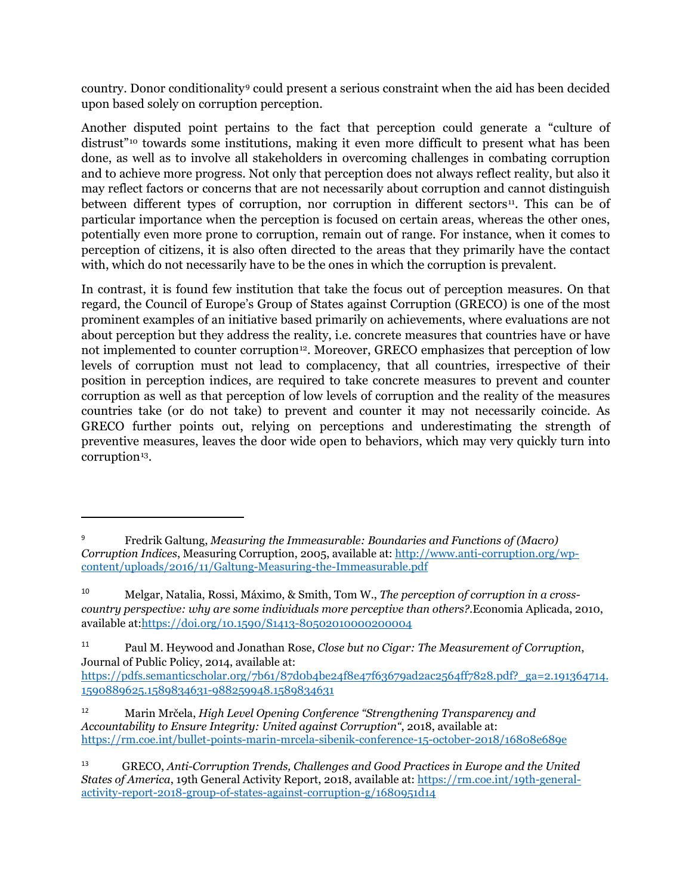country. Donor conditionality<sup>[9](#page-3-0)</sup> could present a serious constraint when the aid has been decided upon based solely on corruption perception.

Another disputed point pertains to the fact that perception could generate a "culture of distrust<sup>"[1](#page-3-1)0</sup> towards some institutions, making it even more difficult to present what has been done, as well as to involve all stakeholders in overcoming challenges in combating corruption and to achieve more progress. Not only that perception does not always reflect reality, but also it may reflect factors or concerns that are not necessarily about corruption and cannot distinguish between different types of corruption, nor corruption in different sectors $\mu$ . This can be of particular importance when the perception is focused on certain areas, whereas the other ones, potentially even more prone to corruption, remain out of range. For instance, when it comes to perception of citizens, it is also often directed to the areas that they primarily have the contact with, which do not necessarily have to be the ones in which the corruption is prevalent.

In contrast, it is found few institution that take the focus out of perception measures. On that regard, the Council of Europe's Group of States against Corruption (GRECO) is one of the most prominent examples of an initiative based primarily on achievements, where evaluations are not about perception but they address the reality, i.e. concrete measures that countries have or have not implemented to counter corruption<sup>[1](#page-3-3)2</sup>. Moreover, GRECO emphasizes that perception of low levels of corruption must not lead to complacency, that all countries, irrespective of their position in perception indices, are required to take concrete measures to prevent and counter corruption as well as that perception of low levels of corruption and the reality of the measures countries take (or do not take) to prevent and counter it may not necessarily coincide. As GRECO further points out, relying on perceptions and underestimating the strength of preventive measures, leaves the door wide open to behaviors, which may very quickly turn into corruption<sup>[13](#page-3-4)</sup>.

l

<span id="page-3-0"></span><sup>9</sup> Fredrik Galtung, *Measuring the Immeasurable: Boundaries and Functions of (Macro) Corruption Indices*, Measuring Corruption, 2005, available at[: http://www.anti-corruption.org/wp](http://www.anti-corruption.org/wp-content/uploads/2016/11/Galtung-Measuring-the-Immeasurable.pdf)[content/uploads/2016/11/Galtung-Measuring-the-Immeasurable.pdf](http://www.anti-corruption.org/wp-content/uploads/2016/11/Galtung-Measuring-the-Immeasurable.pdf)

<span id="page-3-1"></span><sup>10</sup> Melgar, Natalia, Rossi, Máximo, & Smith, Tom W., *The perception of corruption in a crosscountry perspective: why are some individuals more perceptive than others?*.Economia Aplicada, 2010, available at[:https://doi.org/10.1590/S1413-80502010000200004](https://doi.org/10.1590/S1413-80502010000200004)

<span id="page-3-2"></span><sup>11</sup> Paul M. Heywood and Jonathan Rose, *Close but no Cigar: The Measurement of Corruption*, Journal of Public Policy, 2014, available at:

[https://pdfs.semanticscholar.org/7b61/87d0b4be24f8e47f63679ad2ac2564ff7828.pdf?\\_ga=2.191364714.](https://pdfs.semanticscholar.org/7b61/87d0b4be24f8e47f63679ad2ac2564ff7828.pdf?_ga=2.191364714.1590889625.1589834631-988259948.1589834631) [1590889625.1589834631-988259948.1589834631](https://pdfs.semanticscholar.org/7b61/87d0b4be24f8e47f63679ad2ac2564ff7828.pdf?_ga=2.191364714.1590889625.1589834631-988259948.1589834631)

<span id="page-3-3"></span><sup>12</sup> Marin Mrčela, *High Level Opening Conference "Strengthening Transparency and Accountability to Ensure Integrity: United against Corruption"*, 2018, available at: <https://rm.coe.int/bullet-points-marin-mrcela-sibenik-conference-15-october-2018/16808e689e>

<span id="page-3-4"></span><sup>13</sup> GRECO, *Anti-Corruption Trends, Challenges and Good Practices in Europe and the United States of America*, 19th General Activity Report, 2018, available at[: https://rm.coe.int/19th-general](https://rm.coe.int/19th-general-activity-report-2018-group-of-states-against-corruption-g/1680951d14)[activity-report-2018-group-of-states-against-corruption-g/1680951d14](https://rm.coe.int/19th-general-activity-report-2018-group-of-states-against-corruption-g/1680951d14)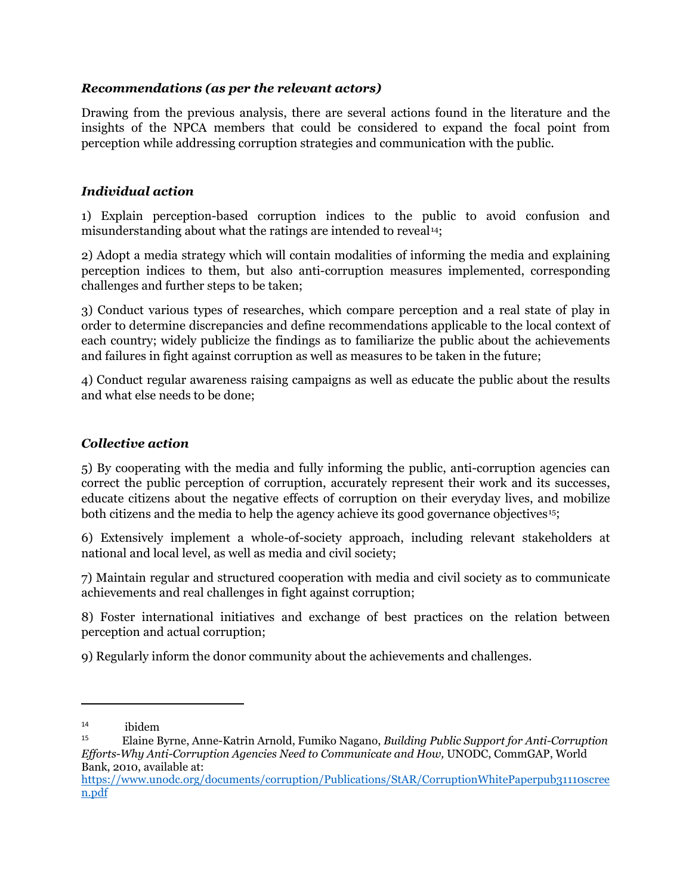## *Recommendations (as per the relevant actors)*

Drawing from the previous analysis, there are several actions found in the literature and the insights of the NPCA members that could be considered to expand the focal point from perception while addressing corruption strategies and communication with the public.

## *Individual action*

1) Explain perception-based corruption indices to the public to avoid confusion and misunderstanding about what the ratings are intended to reveal<sup>[1](#page-4-0)4</sup>;

2) Adopt a media strategy which will contain modalities of informing the media and explaining perception indices to them, but also anti-corruption measures implemented, corresponding challenges and further steps to be taken;

3) Conduct various types of researches, which compare perception and a real state of play in order to determine discrepancies and define recommendations applicable to the local context of each country; widely publicize the findings as to familiarize the public about the achievements and failures in fight against corruption as well as measures to be taken in the future;

4) Conduct regular awareness raising campaigns as well as educate the public about the results and what else needs to be done;

## *Collective action*

5) By cooperating with the media and fully informing the public, anti-corruption agencies can correct the public perception of corruption, accurately represent their work and its successes, educate citizens about the negative effects of corruption on their everyday lives, and mobilize both citizens and the media to help the agency achieve its good governance objectives<sup>[1](#page-4-1)5</sup>;

6) Extensively implement a whole-of-society approach, including relevant stakeholders at national and local level, as well as media and civil society;

7) Maintain regular and structured cooperation with media and civil society as to communicate achievements and real challenges in fight against corruption;

8) Foster international initiatives and exchange of best practices on the relation between perception and actual corruption;

9) Regularly inform the donor community about the achievements and challenges.

 $\overline{a}$ 

<span id="page-4-0"></span> $14$  ibidem

<span id="page-4-1"></span><sup>15</sup> Elaine Byrne, Anne-Katrin Arnold, Fumiko Nagano, *Building Public Support for Anti-Corruption Efforts-Why Anti-Corruption Agencies Need to Communicate and How,* UNODC, CommGAP, World Bank, 2010, available at:

[https://www.unodc.org/documents/corruption/Publications/StAR/CorruptionWhitePaperpub31110scree](https://www.unodc.org/documents/corruption/Publications/StAR/CorruptionWhitePaperpub31110screen.pdf) [n.pdf](https://www.unodc.org/documents/corruption/Publications/StAR/CorruptionWhitePaperpub31110screen.pdf)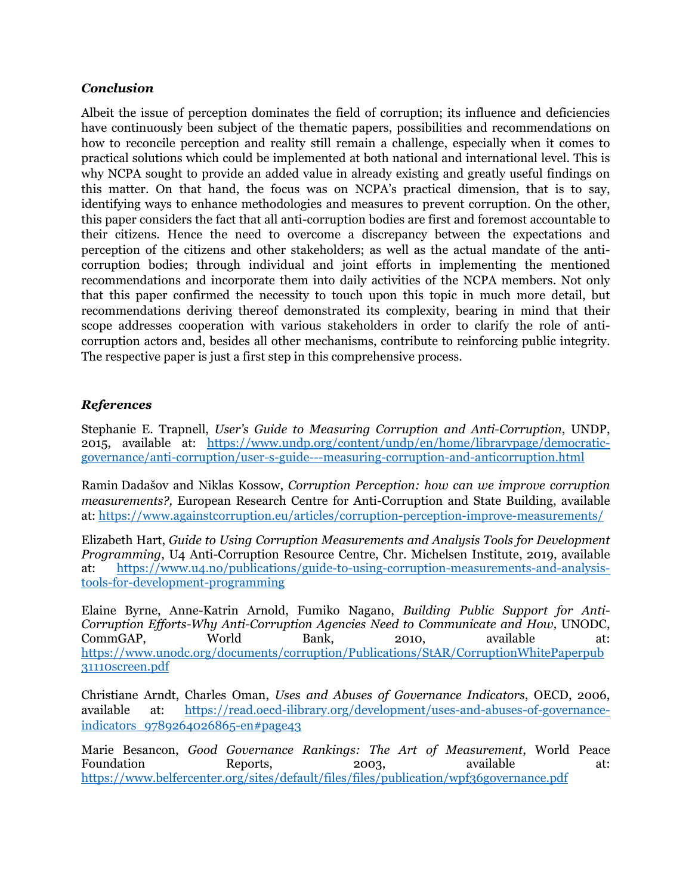#### *Conclusion*

Albeit the issue of perception dominates the field of corruption; its influence and deficiencies have continuously been subject of the thematic papers, possibilities and recommendations on how to reconcile perception and reality still remain a challenge, especially when it comes to practical solutions which could be implemented at both national and international level. This is why NCPA sought to provide an added value in already existing and greatly useful findings on this matter. On that hand, the focus was on NCPA's practical dimension, that is to say, identifying ways to enhance methodologies and measures to prevent corruption. On the other, this paper considers the fact that all anti-corruption bodies are first and foremost accountable to their citizens. Hence the need to overcome a discrepancy between the expectations and perception of the citizens and other stakeholders; as well as the actual mandate of the anticorruption bodies; through individual and joint efforts in implementing the mentioned recommendations and incorporate them into daily activities of the NCPA members. Not only that this paper confirmed the necessity to touch upon this topic in much more detail, but recommendations deriving thereof demonstrated its complexity, bearing in mind that their scope addresses cooperation with various stakeholders in order to clarify the role of anticorruption actors and, besides all other mechanisms, contribute to reinforcing public integrity. The respective paper is just a first step in this comprehensive process.

## *References*

Stephanie E. Trapnell, *User's Guide to Measuring Corruption and Anti-Corruption*, UNDP, 2015, available at: [https://www.undp.org/content/undp/en/home/librarypage/democratic](https://www.undp.org/content/undp/en/home/librarypage/democratic-governance/anti-corruption/user-s-guide---measuring-corruption-and-anticorruption.html)[governance/anti-corruption/user-s-guide---measuring-corruption-and-anticorruption.html](https://www.undp.org/content/undp/en/home/librarypage/democratic-governance/anti-corruption/user-s-guide---measuring-corruption-and-anticorruption.html)

Ramin Dadašov and Niklas Kossow, *Corruption Perception: how can we improve corruption measurements?,* European Research Centre for Anti-Corruption and State Building, available at:<https://www.againstcorruption.eu/articles/corruption-perception-improve-measurements/>

Elizabeth Hart, *Guide to Using Corruption Measurements and Analysis Tools for Development Programming*, U4 Anti-Corruption Resource Centre, Chr. Michelsen Institute, 2019, available at: [https://www.u4.no/publications/guide-to-using-corruption-measurements-and-analysis](https://www.u4.no/publications/guide-to-using-corruption-measurements-and-analysis-tools-for-development-programming)[tools-for-development-programming](https://www.u4.no/publications/guide-to-using-corruption-measurements-and-analysis-tools-for-development-programming)

Elaine Byrne, Anne-Katrin Arnold, Fumiko Nagano, *Building Public Support for Anti-Corruption Efforts-Why Anti-Corruption Agencies Need to Communicate and How,* UNODC, CommGAP, World Bank, 2010, available at: [https://www.unodc.org/documents/corruption/Publications/StAR/CorruptionWhitePaperpub](https://www.unodc.org/documents/corruption/Publications/StAR/CorruptionWhitePaperpub31110screen.pdf) [31110screen.pdf](https://www.unodc.org/documents/corruption/Publications/StAR/CorruptionWhitePaperpub31110screen.pdf)

Christiane Arndt, Charles Oman, *Uses and Abuses of Governance Indicators*, OECD, 2006, available at: [https://read.oecd-ilibrary.org/development/uses-and-abuses-of-governance](https://read.oecd-ilibrary.org/development/uses-and-abuses-of-governance-indicators_9789264026865-en#page43)[indicators\\_9789264026865-en#page43](https://read.oecd-ilibrary.org/development/uses-and-abuses-of-governance-indicators_9789264026865-en#page43)

Marie Besancon, *Good Governance Rankings: The Art of Measurement*, World Peace Foundation Reports, 2003, available at: <https://www.belfercenter.org/sites/default/files/files/publication/wpf36governance.pdf>